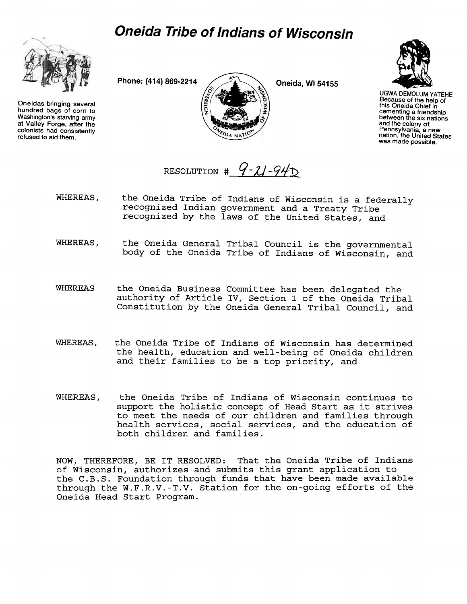## *Oneida Tribe of Indians of Wisconsin*



Oneidas bringing several hundred bags of corn to Washington's starving army at Valley Forge, after the colonists had consistently refused to aid them.





UGWA DEMOLUM YATEHE Because of the help of this Oneida Chief in cementing a friendship between the six nations and the colony of Pennsylvania, a new nation, the United States was made possible

RESOLUTION  $\#$  9-21-94D

- WHEREAS, the Oneida Tribe of Indians of Wisconsin is a federally recognized Indian government and a Treaty Tribe recognized by the laws of the United States, and
- WHEREAS, the Oneida General Tribal Council is the governmental body of the Oneida Tribe of Indians of Wisconsin, and
- WHEREAS the Oneida Business Committee has been delegated the authority of Article IV, Section 1 of the Oneida Tribal Constitution by the Oneida General Tribal Council, and
- WHEREAS, the Oneida Tribe of Indians of Wisconsin has determined the health, education and well-being of Oneida children and their families to be a top priority, and
- WHEREAS, the Oneida Tribe of Indians of Wisconsin continues to support the holistic concept of Head Start as it strives to meet the needs of our children and families through health services, social services, and the education of both children and families.

NOW, THEREFORE, BE IT RESOLVED: That the Oneida Tribe of Indians of Wisconsin, authorizes and submits this grant application to the C.B.S. Foundation through funds that have been made available through the W.F.R.V.-T.V. Station for the on-going efforts of the Oneida Head Start Program.